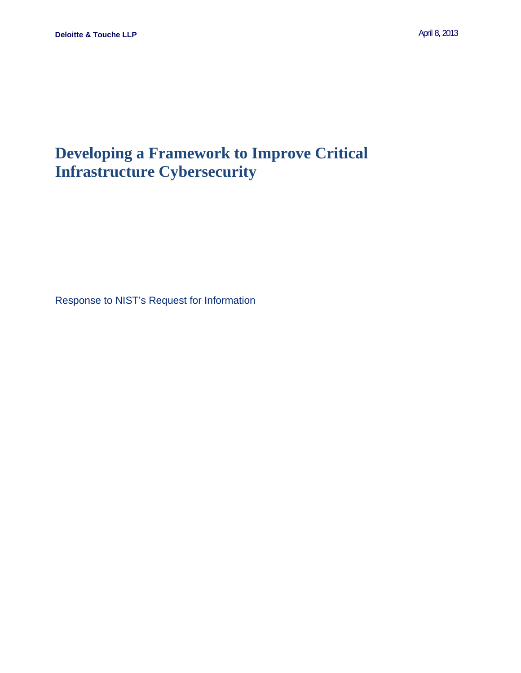# **Developing a Framework to Improve Critical Infrastructure Cybersecurity**

Response to NIST's Request for Information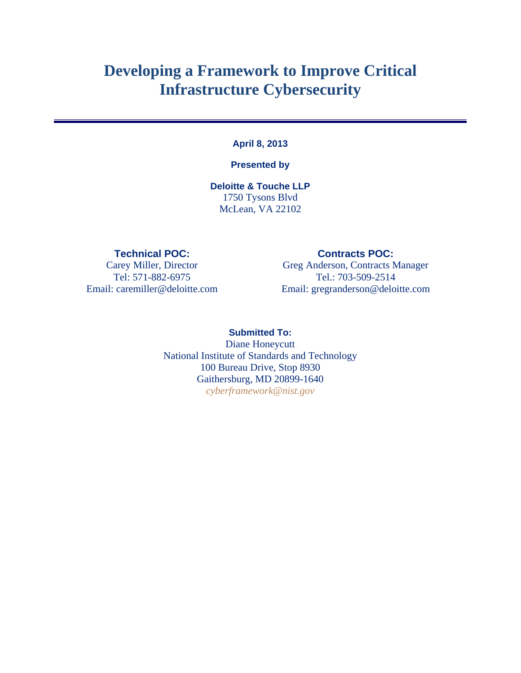# **Developing a Framework to Improve Critical Infrastructure Cybersecurity**

#### **April 8, 2013**

#### **Presented by**

**Deloitte & Touche LLP**  1750 Tysons Blvd McLean, VA 22102

#### **Technical POC: Contracts POC:**

Carey Miller, Director Greg Anderson, Contracts Manager Tel: 571-882-6975 Tel.: 703-509-2514 Email: caremiller@deloitte.com Email: gregranderson@deloitte.com

> **Submitted To:**  Diane Honeycutt National Institute of Standards and Technology 100 Bureau Drive, Stop 8930 Gaithersburg, MD 20899-1640 *cyberframework@nist.gov*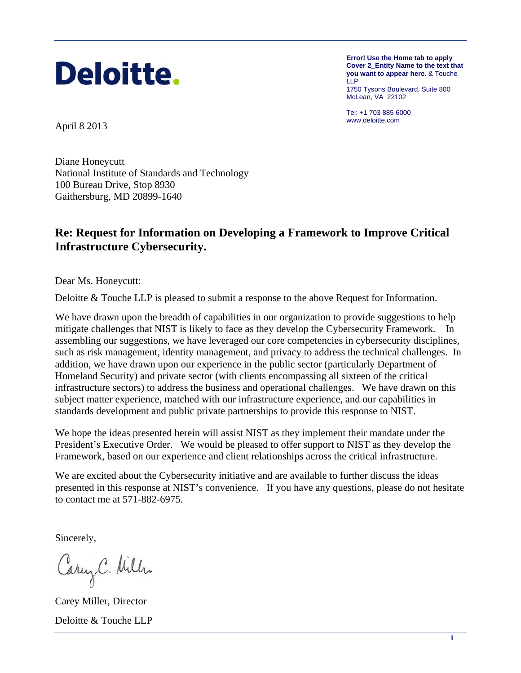

**Error! Use the Home tab to apply Cover 2\_Entity Name to the text that you want to appear here.** & Touche LLP 1750 Tysons Boulevard, Suite 800 McLean, VA 22102

Tel: +1 703 885 6000

www.deloitte.com April 8 2013

Diane Honeycutt National Institute of Standards and Technology 100 Bureau Drive, Stop 8930 Gaithersburg, MD 20899-1640

#### **Re: Request for Information on Developing a Framework to Improve Critical Infrastructure Cybersecurity.**

Dear Ms. Honeycutt:

Deloitte & Touche LLP is pleased to submit a response to the above Request for Information.

 mitigate challenges that NIST is likely to face as they develop the Cybersecurity Framework. In We have drawn upon the breadth of capabilities in our organization to provide suggestions to help assembling our suggestions, we have leveraged our core competencies in cybersecurity disciplines, such as risk management, identity management, and privacy to address the technical challenges. In addition, we have drawn upon our experience in the public sector (particularly Department of Homeland Security) and private sector (with clients encompassing all sixteen of the critical infrastructure sectors) to address the business and operational challenges. We have drawn on this subject matter experience, matched with our infrastructure experience, and our capabilities in standards development and public private partnerships to provide this response to NIST.

We hope the ideas presented herein will assist NIST as they implement their mandate under the President's Executive Order. We would be pleased to offer support to NIST as they develop the Framework, based on our experience and client relationships across the critical infrastructure.

We are excited about the Cybersecurity initiative and are available to further discuss the ideas presented in this response at NIST's convenience. If you have any questions, please do not hesitate to contact me at 571-882-6975.

Sincerely,

Carey C. Willen

 Deloitte & Touche LLP Carey Miller, Director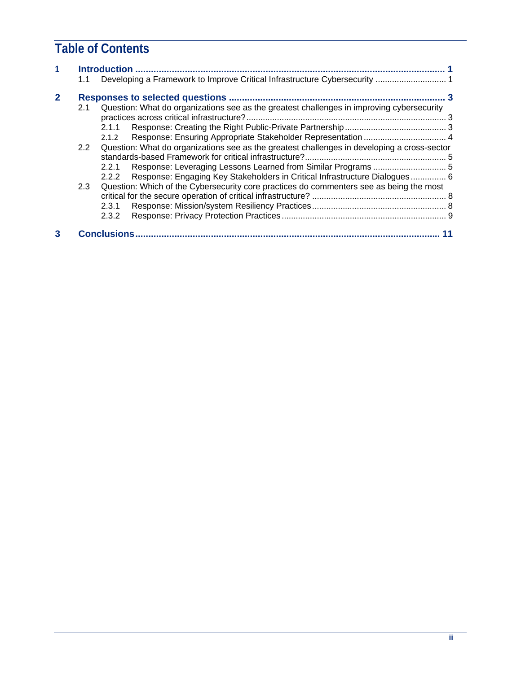## **Table of Contents**

|   | 1.1 | <b>Introduction</b><br>Developing a Framework to Improve Critical Infrastructure Cybersecurity  1  |                                                                            |  |
|---|-----|----------------------------------------------------------------------------------------------------|----------------------------------------------------------------------------|--|
| 2 |     |                                                                                                    |                                                                            |  |
|   | 2.1 | Question: What do organizations see as the greatest challenges in improving cybersecurity<br>2.1.1 |                                                                            |  |
|   |     | 2.1.2                                                                                              |                                                                            |  |
|   | 2.2 | Question: What do organizations see as the greatest challenges in developing a cross-sector        |                                                                            |  |
|   |     | 2.2.1                                                                                              | Response: Leveraging Lessons Learned from Similar Programs  5              |  |
|   |     | 2.2.2                                                                                              | Response: Engaging Key Stakeholders in Critical Infrastructure Dialogues 6 |  |
|   | 2.3 | Question: Which of the Cybersecurity core practices do commenters see as being the most            |                                                                            |  |
|   |     | 2.3.1                                                                                              |                                                                            |  |
|   |     | 2.3.2                                                                                              |                                                                            |  |
| 3 |     | <b>Conclusions</b>                                                                                 |                                                                            |  |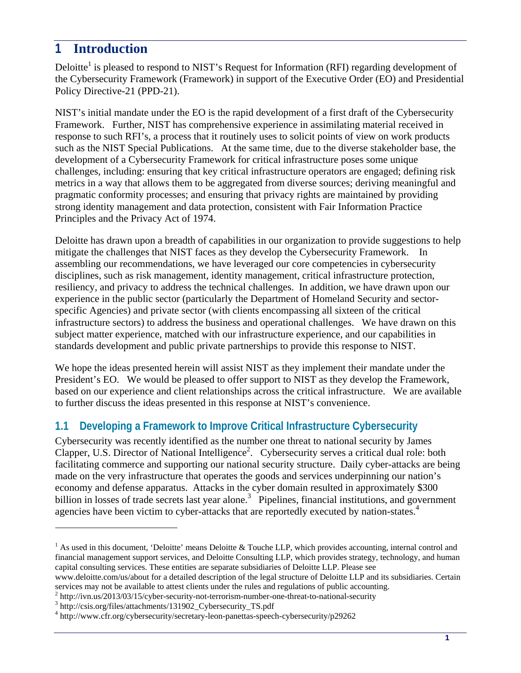## <span id="page-4-0"></span>**1 Introduction**

Deloitte<sup>1</sup> is pleased to respond to NIST's Request for Information (RFI) regarding development of the Cybersecurity Framework (Framework) in support of the Executive Order (EO) and Presidential Policy Directive-21 (PPD-21).

NIST's initial mandate under the EO is the rapid development of a first draft of the Cybersecurity Framework. Further, NIST has comprehensive experience in assimilating material received in response to such RFI's, a process that it routinely uses to solicit points of view on work products such as the NIST Special Publications. At the same time, due to the diverse stakeholder base, the development of a Cybersecurity Framework for critical infrastructure poses some unique challenges, including: ensuring that key critical infrastructure operators are engaged; defining risk metrics in a way that allows them to be aggregated from diverse sources; deriving meaningful and pragmatic conformity processes; and ensuring that privacy rights are maintained by providing strong identity management and data protection, consistent with Fair Information Practice Principles and the Privacy Act of 1974.

 mitigate the challenges that NIST faces as they develop the Cybersecurity Framework. In Deloitte has drawn upon a breadth of capabilities in our organization to provide suggestions to help assembling our recommendations, we have leveraged our core competencies in cybersecurity disciplines, such as risk management, identity management, critical infrastructure protection, resiliency, and privacy to address the technical challenges. In addition, we have drawn upon our experience in the public sector (particularly the Department of Homeland Security and sectorspecific Agencies) and private sector (with clients encompassing all sixteen of the critical infrastructure sectors) to address the business and operational challenges. We have drawn on this subject matter experience, matched with our infrastructure experience, and our capabilities in standards development and public private partnerships to provide this response to NIST.

We hope the ideas presented herein will assist NIST as they implement their mandate under the President's EO. We would be pleased to offer support to NIST as they develop the Framework, based on our experience and client relationships across the critical infrastructure. We are available to further discuss the ideas presented in this response at NIST's convenience.

## **1.1 Developing a Framework to Improve Critical Infrastructure Cybersecurity**

agencies have been victim to cyber-attacks that are reportedly executed by nation-states.<sup>4</sup> Cybersecurity was recently identified as the number one threat to national security by James Clapper, U.S. Director of National Intelligence<sup>2</sup>. Cybersecurity serves a critical dual role: both facilitating commerce and supporting our national security structure. Daily cyber-attacks are being made on the very infrastructure that operates the goods and services underpinning our nation's economy and defense apparatus. Attacks in the cyber domain resulted in approximately \$300 billion in losses of trade secrets last year alone.<sup>3</sup> Pipelines, financial institutions, and government

 $<sup>1</sup>$  As used in this document, 'Deloitte' means Deloitte & Touche LLP, which provides accounting, internal control and</sup> financial management support services, and Deloitte Consulting LLP, which provides strategy, technology, and human capital consulting services. These entities are separate subsidiaries of Deloitte LLP. Please see

www.deloitte.com/us/about for a detailed description of the legal structure of Deloitte LLP and its subsidiaries. Certain services may not be available to attest clients under the rules and regulations of public accounting.

 $h<sup>2</sup>$  http://ivn.us/2013/03/15/cyber-security-not-terrorism-number-one-threat-to-national-security

http://csis.org/files/attachments/131902\_Cybersecurity\_TS.pdf

<sup>4</sup> http://www.cfr.org/cybersecurity/secretary-leon-panettas-speech-cybersecurity/p29262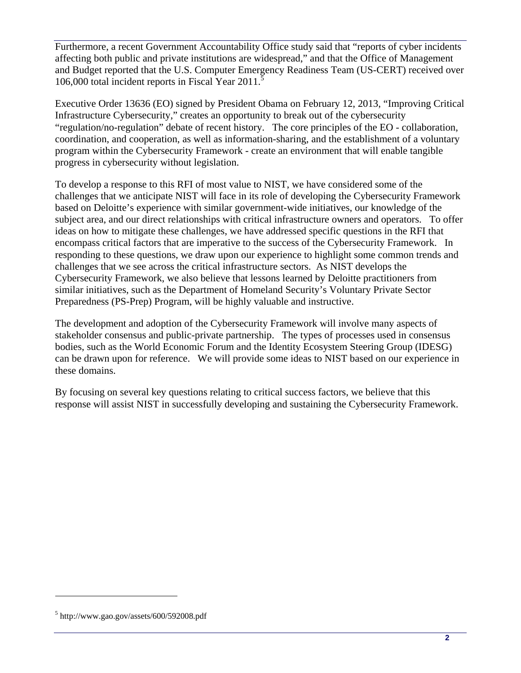Furthermore, a recent Government Accountability Office study said that "reports of cyber incidents affecting both public and private institutions are widespread," and that the Office of Management and Budget reported that the U.S. Computer Emergency Readiness Team (US-CERT) received over 106,000 total incident reports in Fiscal Year 2011.<sup>5</sup>

Executive Order 13636 (EO) signed by President Obama on February 12, 2013, "Improving Critical Infrastructure Cybersecurity," creates an opportunity to break out of the cybersecurity "regulation/no-regulation" debate of recent history. The core principles of the EO - collaboration, coordination, and cooperation, as well as information-sharing, and the establishment of a voluntary program within the Cybersecurity Framework - create an environment that will enable tangible progress in cybersecurity without legislation.

 challenges that we see across the critical infrastructure sectors. As NIST develops the To develop a response to this RFI of most value to NIST, we have considered some of the challenges that we anticipate NIST will face in its role of developing the Cybersecurity Framework based on Deloitte's experience with similar government-wide initiatives, our knowledge of the subject area, and our direct relationships with critical infrastructure owners and operators. To offer ideas on how to mitigate these challenges, we have addressed specific questions in the RFI that encompass critical factors that are imperative to the success of the Cybersecurity Framework. In responding to these questions, we draw upon our experience to highlight some common trends and Cybersecurity Framework, we also believe that lessons learned by Deloitte practitioners from similar initiatives, such as the Department of Homeland Security's Voluntary Private Sector Preparedness (PS-Prep) Program, will be highly valuable and instructive.

The development and adoption of the Cybersecurity Framework will involve many aspects of stakeholder consensus and public-private partnership. The types of processes used in consensus bodies, such as the World Economic Forum and the Identity Ecosystem Steering Group (IDESG) can be drawn upon for reference. We will provide some ideas to NIST based on our experience in these domains.

By focusing on several key questions relating to critical success factors, we believe that this response will assist NIST in successfully developing and sustaining the Cybersecurity Framework.

<sup>5</sup> http://www.gao.gov/assets/600/592008.pdf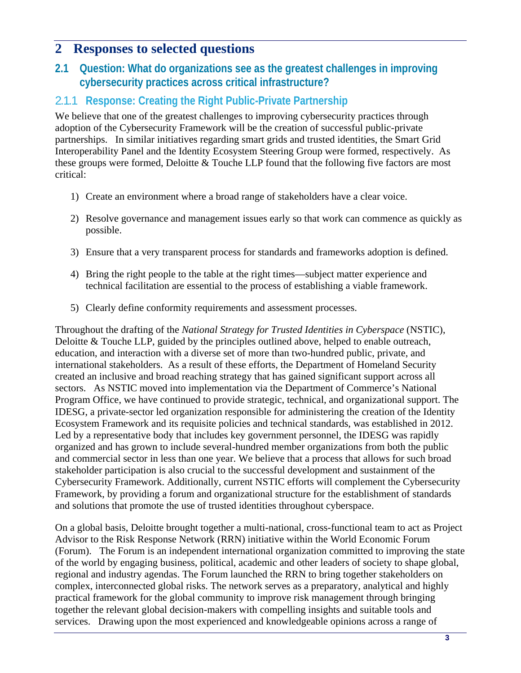## **2 Responses to selected questions**

#### **2.1 Question: What do organizations see as the greatest challenges in improving cybersecurity practices across critical infrastructure?**

### 2.1.1 **Response: Creating the Right Public-Private Partnership**

We believe that one of the greatest challenges to improving cybersecurity practices through adoption of the Cybersecurity Framework will be the creation of successful public-private partnerships. In similar initiatives regarding smart grids and trusted identities, the Smart Grid Interoperability Panel and the Identity Ecosystem Steering Group were formed, respectively. As these groups were formed, Deloitte & Touche LLP found that the following five factors are most critical:

- 1) Create an environment where a broad range of stakeholders have a clear voice.
- 2) Resolve governance and management issues early so that work can commence as quickly as possible.
- 3) Ensure that a very transparent process for standards and frameworks adoption is defined.
- 4) Bring the right people to the table at the right times—subject matter experience and technical facilitation are essential to the process of establishing a viable framework.
- 5) Clearly define conformity requirements and assessment processes.

Throughout the drafting of the *National Strategy for Trusted Identities in Cyberspace* (NSTIC), Deloitte & Touche LLP, guided by the principles outlined above, helped to enable outreach, education, and interaction with a diverse set of more than two-hundred public, private, and international stakeholders. As a result of these efforts, the Department of Homeland Security created an inclusive and broad reaching strategy that has gained significant support across all sectors. As NSTIC moved into implementation via the Department of Commerce's National Program Office, we have continued to provide strategic, technical, and organizational support. The IDESG, a private-sector led organization responsible for administering the creation of the Identity Ecosystem Framework and its requisite policies and technical standards, was established in 2012. Led by a representative body that includes key government personnel, the IDESG was rapidly organized and has grown to include several-hundred member organizations from both the public and commercial sector in less than one year. We believe that a process that allows for such broad stakeholder participation is also crucial to the successful development and sustainment of the Cybersecurity Framework. Additionally, current NSTIC efforts will complement the Cybersecurity Framework, by providing a forum and organizational structure for the establishment of standards and solutions that promote the use of trusted identities throughout cyberspace.

On a global basis, Deloitte brought together a multi-national, cross-functional team to act as Project Advisor to the Risk Response Network (RRN) initiative within the World Economic Forum (Forum). The Forum is an independent international organization committed to improving the state of the world by engaging business, political, academic and other leaders of society to shape global, regional and industry agendas. The Forum launched the RRN to bring together stakeholders on complex, interconnected global risks. The network serves as a preparatory, analytical and highly practical framework for the global community to improve risk management through bringing together the relevant global decision-makers with compelling insights and suitable tools and services. Drawing upon the most experienced and knowledgeable opinions across a range of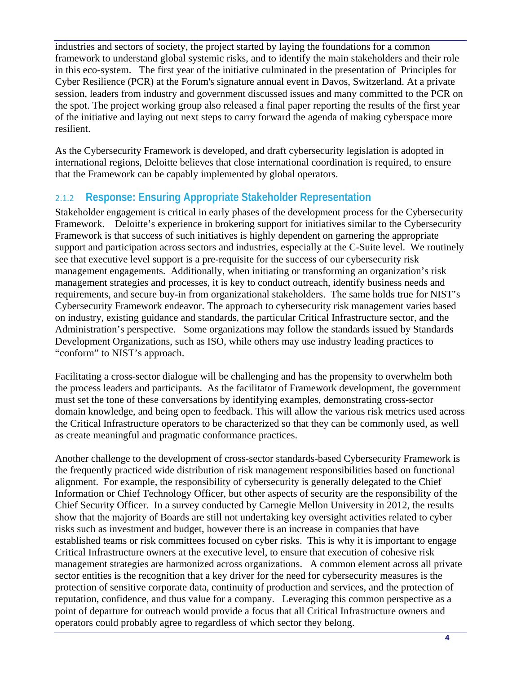industries and sectors of society, the project started by laying the foundations for a common framework to understand global systemic risks, and to identify the main stakeholders and their role in this eco-system. The first year of the initiative culminated in the presentation of Principles for Cyber Resilience (PCR) at the Forum's signature annual event in Davos, Switzerland. At a private session, leaders from industry and government discussed issues and many committed to the PCR on the spot. The project working group also released a final paper reporting the results of the first year of the initiative and laying out next steps to carry forward the agenda of making cyberspace more resilient.

As the Cybersecurity Framework is developed, and draft cybersecurity legislation is adopted in international regions, Deloitte believes that close international coordination is required, to ensure that the Framework can be capably implemented by global operators.

## 2.1.2 **Response: Ensuring Appropriate Stakeholder Representation**

 Framework. Deloitte's experience in brokering support for initiatives similar to the Cybersecurity Stakeholder engagement is critical in early phases of the development process for the Cybersecurity Framework is that success of such initiatives is highly dependent on garnering the appropriate support and participation across sectors and industries, especially at the C-Suite level. We routinely see that executive level support is a pre-requisite for the success of our cybersecurity risk management engagements. Additionally, when initiating or transforming an organization's risk management strategies and processes, it is key to conduct outreach, identify business needs and requirements, and secure buy-in from organizational stakeholders. The same holds true for NIST's Cybersecurity Framework endeavor. The approach to cybersecurity risk management varies based on industry, existing guidance and standards, the particular Critical Infrastructure sector, and the Administration's perspective. Some organizations may follow the standards issued by Standards Development Organizations, such as ISO, while others may use industry leading practices to "conform" to NIST's approach.

Facilitating a cross-sector dialogue will be challenging and has the propensity to overwhelm both the process leaders and participants. As the facilitator of Framework development, the government must set the tone of these conversations by identifying examples, demonstrating cross-sector domain knowledge, and being open to feedback. This will allow the various risk metrics used across the Critical Infrastructure operators to be characterized so that they can be commonly used, as well as create meaningful and pragmatic conformance practices.

Another challenge to the development of cross-sector standards-based Cybersecurity Framework is the frequently practiced wide distribution of risk management responsibilities based on functional alignment. For example, the responsibility of cybersecurity is generally delegated to the Chief Information or Chief Technology Officer, but other aspects of security are the responsibility of the Chief Security Officer. In a survey conducted by Carnegie Mellon University in 2012, the results show that the majority of Boards are still not undertaking key oversight activities related to cyber risks such as investment and budget, however there is an increase in companies that have established teams or risk committees focused on cyber risks. This is why it is important to engage Critical Infrastructure owners at the executive level, to ensure that execution of cohesive risk management strategies are harmonized across organizations. A common element across all private sector entities is the recognition that a key driver for the need for cybersecurity measures is the protection of sensitive corporate data, continuity of production and services, and the protection of reputation, confidence, and thus value for a company. Leveraging this common perspective as a point of departure for outreach would provide a focus that all Critical Infrastructure owners and operators could probably agree to regardless of which sector they belong.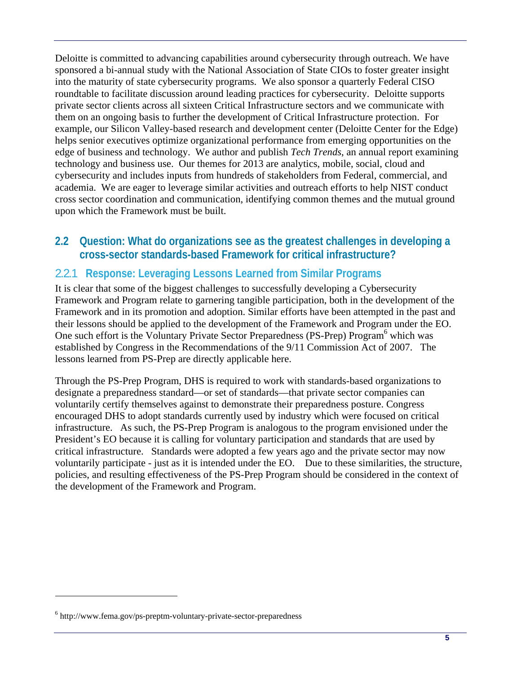Deloitte is committed to advancing capabilities around cybersecurity through outreach. We have sponsored a bi-annual study with the National Association of State CIOs to foster greater insight into the maturity of state cybersecurity programs. We also sponsor a quarterly Federal CISO roundtable to facilitate discussion around leading practices for cybersecurity. Deloitte supports private sector clients across all sixteen Critical Infrastructure sectors and we communicate with them on an ongoing basis to further the development of Critical Infrastructure protection. For example, our Silicon Valley-based research and development center (Deloitte Center for the Edge) helps senior executives optimize organizational performance from emerging opportunities on the edge of business and technology. We author and publish *Tech Trends*, an annual report examining technology and business use. Our themes for 2013 are analytics, mobile, social, cloud and cybersecurity and includes inputs from hundreds of stakeholders from Federal, commercial, and academia. We are eager to leverage similar activities and outreach efforts to help NIST conduct cross sector coordination and communication, identifying common themes and the mutual ground upon which the Framework must be built.

#### **2.2 Question: What do organizations see as the greatest challenges in developing a cross-sector standards-based Framework for critical infrastructure?**

### 2.2.1 **Response: Leveraging Lessons Learned from Similar Programs**

It is clear that some of the biggest challenges to successfully developing a Cybersecurity Framework and Program relate to garnering tangible participation, both in the development of the Framework and in its promotion and adoption. Similar efforts have been attempted in the past and their lessons should be applied to the development of the Framework and Program under the EO. One such effort is the Voluntary Private Sector Preparedness (PS-Prep) Program<sup>6</sup> which was established by Congress in the Recommendations of the 9/11 Commission Act of 2007. The lessons learned from PS-Prep are directly applicable here.

 voluntarily participate - just as it is intended under the EO. Due to these similarities, the structure, Through the PS-Prep Program, DHS is required to work with standards-based organizations to designate a preparedness standard—or set of standards—that private sector companies can voluntarily certify themselves against to demonstrate their preparedness posture. Congress encouraged DHS to adopt standards currently used by industry which were focused on critical infrastructure. As such, the PS-Prep Program is analogous to the program envisioned under the President's EO because it is calling for voluntary participation and standards that are used by critical infrastructure. Standards were adopted a few years ago and the private sector may now policies, and resulting effectiveness of the PS-Prep Program should be considered in the context of the development of the Framework and Program.

<sup>6</sup> http://www.fema.gov/ps-preptm-voluntary-private-sector-preparedness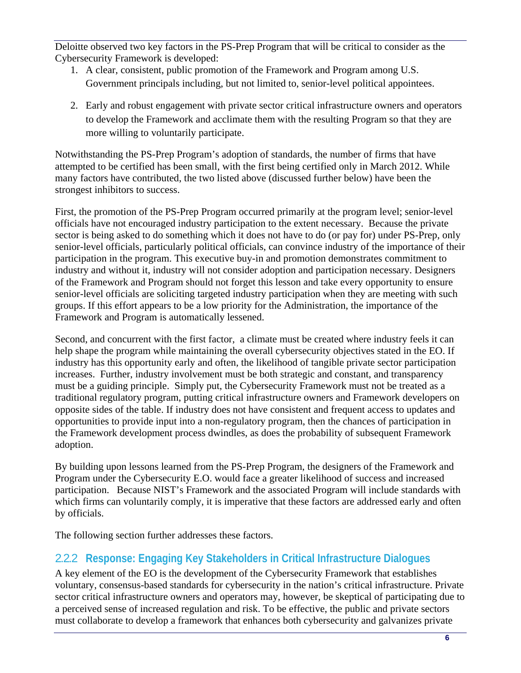Deloitte observed two key factors in the PS-Prep Program that will be critical to consider as the Cybersecurity Framework is developed:

- 1. A clear, consistent, public promotion of the Framework and Program among U.S. Government principals including, but not limited to, senior-level political appointees.
- 2. Early and robust engagement with private sector critical infrastructure owners and operators to develop the Framework and acclimate them with the resulting Program so that they are more willing to voluntarily participate.

Notwithstanding the PS-Prep Program's adoption of standards, the number of firms that have attempted to be certified has been small, with the first being certified only in March 2012. While many factors have contributed, the two listed above (discussed further below) have been the strongest inhibitors to success.

First, the promotion of the PS-Prep Program occurred primarily at the program level; senior-level officials have not encouraged industry participation to the extent necessary. Because the private sector is being asked to do something which it does not have to do (or pay for) under PS-Prep, only senior-level officials, particularly political officials, can convince industry of the importance of their participation in the program. This executive buy-in and promotion demonstrates commitment to industry and without it, industry will not consider adoption and participation necessary. Designers of the Framework and Program should not forget this lesson and take every opportunity to ensure senior-level officials are soliciting targeted industry participation when they are meeting with such groups. If this effort appears to be a low priority for the Administration, the importance of the Framework and Program is automatically lessened.

Second, and concurrent with the first factor, a climate must be created where industry feels it can help shape the program while maintaining the overall cybersecurity objectives stated in the EO. If industry has this opportunity early and often, the likelihood of tangible private sector participation increases. Further, industry involvement must be both strategic and constant, and transparency must be a guiding principle. Simply put, the Cybersecurity Framework must not be treated as a traditional regulatory program, putting critical infrastructure owners and Framework developers on opposite sides of the table. If industry does not have consistent and frequent access to updates and opportunities to provide input into a non-regulatory program, then the chances of participation in the Framework development process dwindles, as does the probability of subsequent Framework adoption.

By building upon lessons learned from the PS-Prep Program, the designers of the Framework and Program under the Cybersecurity E.O. would face a greater likelihood of success and increased participation. Because NIST's Framework and the associated Program will include standards with which firms can voluntarily comply, it is imperative that these factors are addressed early and often by officials.

The following section further addresses these factors.

### 2.2.2 **Response: Engaging Key Stakeholders in Critical Infrastructure Dialogues**

A key element of the EO is the development of the Cybersecurity Framework that establishes voluntary, consensus-based standards for cybersecurity in the nation's critical infrastructure. Private sector critical infrastructure owners and operators may, however, be skeptical of participating due to a perceived sense of increased regulation and risk. To be effective, the public and private sectors must collaborate to develop a framework that enhances both cybersecurity and galvanizes private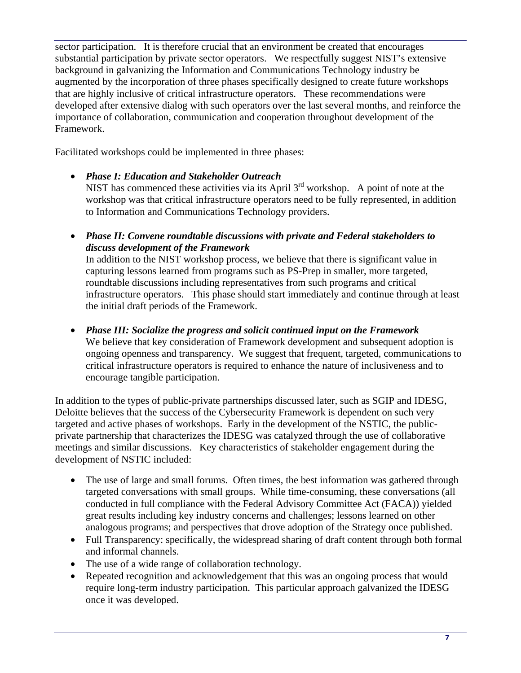sector participation. It is therefore crucial that an environment be created that encourages substantial participation by private sector operators. We respectfully suggest NIST's extensive background in galvanizing the Information and Communications Technology industry be augmented by the incorporation of three phases specifically designed to create future workshops that are highly inclusive of critical infrastructure operators. These recommendations were developed after extensive dialog with such operators over the last several months, and reinforce the importance of collaboration, communication and cooperation throughout development of the Framework.

Facilitated workshops could be implemented in three phases:

- • *Phase I: Education and Stakeholder Outreach*  NIST has commenced these activities via its April  $3<sup>rd</sup>$  workshop. A point of note at the workshop was that critical infrastructure operators need to be fully represented, in addition to Information and Communications Technology providers.
- • *Phase II: Convene roundtable discussions with private and Federal stakeholders to discuss development of the Framework*  In addition to the NIST workshop process, we believe that there is significant value in capturing lessons learned from programs such as PS-Prep in smaller, more targeted, roundtable discussions including representatives from such programs and critical infrastructure operators. This phase should start immediately and continue through at least the initial draft periods of the Framework.
- • *Phase III: Socialize the progress and solicit continued input on the Framework*  We believe that key consideration of Framework development and subsequent adoption is ongoing openness and transparency. We suggest that frequent, targeted, communications to critical infrastructure operators is required to enhance the nature of inclusiveness and to encourage tangible participation.

In addition to the types of public-private partnerships discussed later, such as SGIP and IDESG, Deloitte believes that the success of the Cybersecurity Framework is dependent on such very targeted and active phases of workshops. Early in the development of the NSTIC, the publicprivate partnership that characterizes the IDESG was catalyzed through the use of collaborative meetings and similar discussions. Key characteristics of stakeholder engagement during the development of NSTIC included:

- The use of large and small forums. Often times, the best information was gathered through targeted conversations with small groups. While time-consuming, these conversations (all conducted in full compliance with the Federal Advisory Committee Act (FACA)) yielded great results including key industry concerns and challenges; lessons learned on other analogous programs; and perspectives that drove adoption of the Strategy once published.
- Full Transparency: specifically, the widespread sharing of draft content through both formal and informal channels.
- The use of a wide range of collaboration technology.
- Repeated recognition and acknowledgement that this was an ongoing process that would require long-term industry participation. This particular approach galvanized the IDESG once it was developed.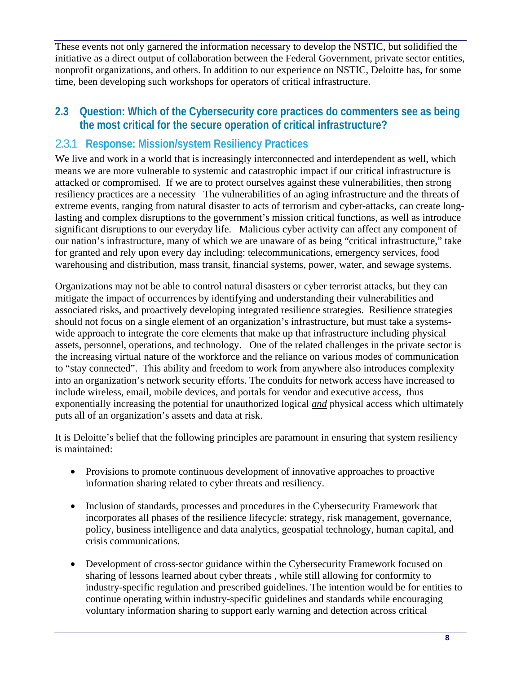These events not only garnered the information necessary to develop the NSTIC, but solidified the initiative as a direct output of collaboration between the Federal Government, private sector entities, nonprofit organizations, and others. In addition to our experience on NSTIC, Deloitte has, for some time, been developing such workshops for operators of critical infrastructure.

### **2.3 Question: Which of the Cybersecurity core practices do commenters see as being the most critical for the secure operation of critical infrastructure?**

#### 2.3.1 **Response: Mission/system Resiliency Practices**

We live and work in a world that is increasingly interconnected and interdependent as well, which means we are more vulnerable to systemic and catastrophic impact if our critical infrastructure is attacked or compromised. If we are to protect ourselves against these vulnerabilities, then strong resiliency practices are a necessity The vulnerabilities of an aging infrastructure and the threats of extreme events, ranging from natural disaster to acts of terrorism and cyber-attacks, can create longlasting and complex disruptions to the government's mission critical functions, as well as introduce significant disruptions to our everyday life. Malicious cyber activity can affect any component of our nation's infrastructure, many of which we are unaware of as being "critical infrastructure," take for granted and rely upon every day including: telecommunications, emergency services, food warehousing and distribution, mass transit, financial systems, power, water, and sewage systems.

Organizations may not be able to control natural disasters or cyber terrorist attacks, but they can mitigate the impact of occurrences by identifying and understanding their vulnerabilities and associated risks, and proactively developing integrated resilience strategies. Resilience strategies should not focus on a single element of an organization's infrastructure, but must take a systemswide approach to integrate the core elements that make up that infrastructure including physical assets, personnel, operations, and technology. One of the related challenges in the private sector is the increasing virtual nature of the workforce and the reliance on various modes of communication to "stay connected". This ability and freedom to work from anywhere also introduces complexity into an organization's network security efforts. The conduits for network access have increased to include wireless, email, mobile devices, and portals for vendor and executive access, thus exponentially increasing the potential for unauthorized logical *and* physical access which ultimately puts all of an organization's assets and data at risk.

It is Deloitte's belief that the following principles are paramount in ensuring that system resiliency is maintained:

- Provisions to promote continuous development of innovative approaches to proactive information sharing related to cyber threats and resiliency.
- Inclusion of standards, processes and procedures in the Cybersecurity Framework that incorporates all phases of the resilience lifecycle: strategy, risk management, governance, policy, business intelligence and data analytics, geospatial technology, human capital, and crisis communications.
- Development of cross-sector guidance within the Cybersecurity Framework focused on sharing of lessons learned about cyber threats , while still allowing for conformity to industry-specific regulation and prescribed guidelines. The intention would be for entities to continue operating within industry-specific guidelines and standards while encouraging voluntary information sharing to support early warning and detection across critical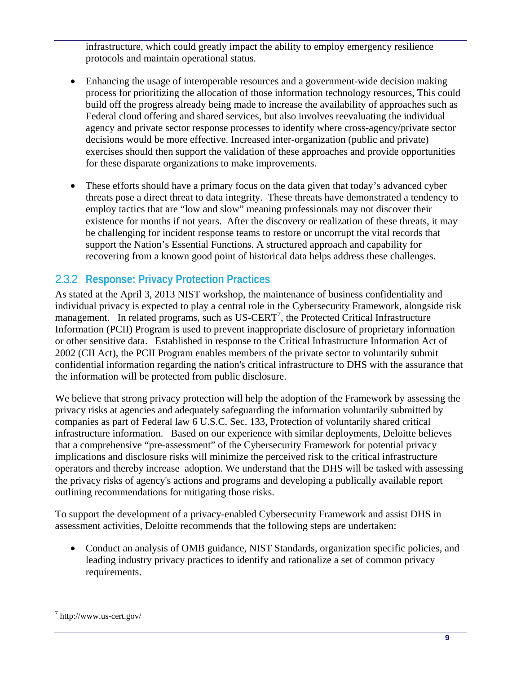infrastructure, which could greatly impact the ability to employ emergency resilience protocols and maintain operational status.

- Enhancing the usage of interoperable resources and a government-wide decision making process for prioritizing the allocation of those information technology resources, This could build off the progress already being made to increase the availability of approaches such as Federal cloud offering and shared services, but also involves reevaluating the individual agency and private sector response processes to identify where cross-agency/private sector decisions would be more effective. Increased inter-organization (public and private) exercises should then support the validation of these approaches and provide opportunities for these disparate organizations to make improvements.
- These efforts should have a primary focus on the data given that today's advanced cyber threats pose a direct threat to data integrity. These threats have demonstrated a tendency to employ tactics that are "low and slow" meaning professionals may not discover their existence for months if not years. After the discovery or realization of these threats, it may be challenging for incident response teams to restore or uncorrupt the vital records that support the Nation's Essential Functions. A structured approach and capability for recovering from a known good point of historical data helps address these challenges.

### 2.3.2 **Response: Privacy Protection Practices**

As stated at the April 3, 2013 NIST workshop, the maintenance of business confidentiality and individual privacy is expected to play a central role in the Cybersecurity Framework, alongside risk management. In related programs, such as US-CERT<sup>7</sup>, the Protected Critical Infrastructure Information (PCII) Program is used to prevent inappropriate disclosure of proprietary information or other sensitive data. Established in response to the Critical Infrastructure Information Act of 2002 (CII Act), the PCII Program enables members of the private sector to voluntarily submit confidential information regarding the nation's critical infrastructure to DHS with the assurance that the information will be protected from public disclosure.

We believe that strong privacy protection will help the adoption of the Framework by assessing the privacy risks at agencies and adequately safeguarding the information voluntarily submitted by companies as part of Federal law 6 U.S.C. Sec. 133, Protection of voluntarily shared critical infrastructure information. Based on our experience with similar deployments, Deloitte believes that a comprehensive "pre-assessment" of the Cybersecurity Framework for potential privacy implications and disclosure risks will minimize the perceived risk to the critical infrastructure operators and thereby increase adoption. We understand that the DHS will be tasked with assessing the privacy risks of agency's actions and programs and developing a publically available report outlining recommendations for mitigating those risks.

To support the development of a privacy-enabled Cybersecurity Framework and assist DHS in assessment activities, Deloitte recommends that the following steps are undertaken:

• Conduct an analysis of OMB guidance, NIST Standards, organization specific policies, and leading industry privacy practices to identify and rationalize a set of common privacy requirements.

 $7$  http://www.us-cert.gov/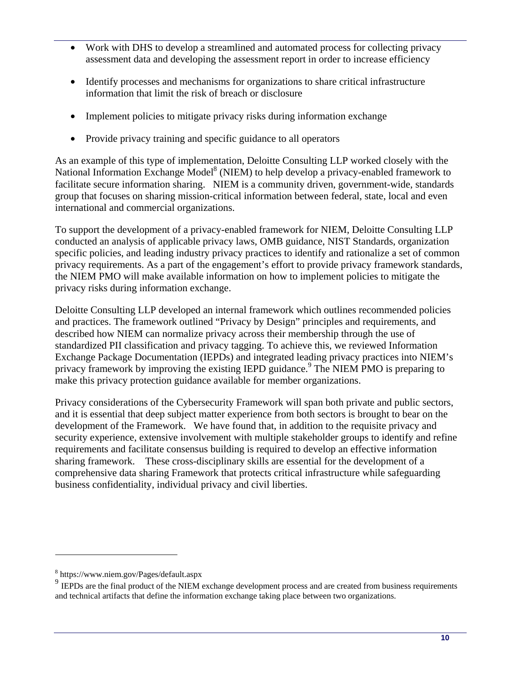- Work with DHS to develop a streamlined and automated process for collecting privacy assessment data and developing the assessment report in order to increase efficiency
- Identify processes and mechanisms for organizations to share critical infrastructure information that limit the risk of breach or disclosure
- Implement policies to mitigate privacy risks during information exchange
- Provide privacy training and specific guidance to all operators

As an example of this type of implementation, Deloitte Consulting LLP worked closely with the National Information Exchange Model<sup>8</sup> (NIEM) to help develop a privacy-enabled framework to facilitate secure information sharing. NIEM is a community driven, government-wide, standards group that focuses on sharing mission-critical information between federal, state, local and even international and commercial organizations.

To support the development of a privacy-enabled framework for NIEM, Deloitte Consulting LLP conducted an analysis of applicable privacy laws, OMB guidance, NIST Standards, organization specific policies, and leading industry privacy practices to identify and rationalize a set of common privacy requirements. As a part of the engagement's effort to provide privacy framework standards, the NIEM PMO will make available information on how to implement policies to mitigate the privacy risks during information exchange.

Deloitte Consulting LLP developed an internal framework which outlines recommended policies and practices. The framework outlined "Privacy by Design" principles and requirements, and described how NIEM can normalize privacy across their membership through the use of standardized PII classification and privacy tagging. To achieve this, we reviewed Information Exchange Package Documentation (IEPDs) and integrated leading privacy practices into NIEM's privacy framework by improving the existing IEPD guidance.<sup>9</sup> The NIEM PMO is preparing to make this privacy protection guidance available for member organizations.

 sharing framework. These cross-disciplinary skills are essential for the development of a Privacy considerations of the Cybersecurity Framework will span both private and public sectors, and it is essential that deep subject matter experience from both sectors is brought to bear on the development of the Framework. We have found that, in addition to the requisite privacy and security experience, extensive involvement with multiple stakeholder groups to identify and refine requirements and facilitate consensus building is required to develop an effective information comprehensive data sharing Framework that protects critical infrastructure while safeguarding business confidentiality, individual privacy and civil liberties.

<sup>8</sup> https://www.niem.gov/Pages/default.aspx

<sup>&</sup>lt;sup>9</sup> IEPDs are the final product of the NIEM exchange development process and are created from business requirements and technical artifacts that define the information exchange taking place between two organizations.